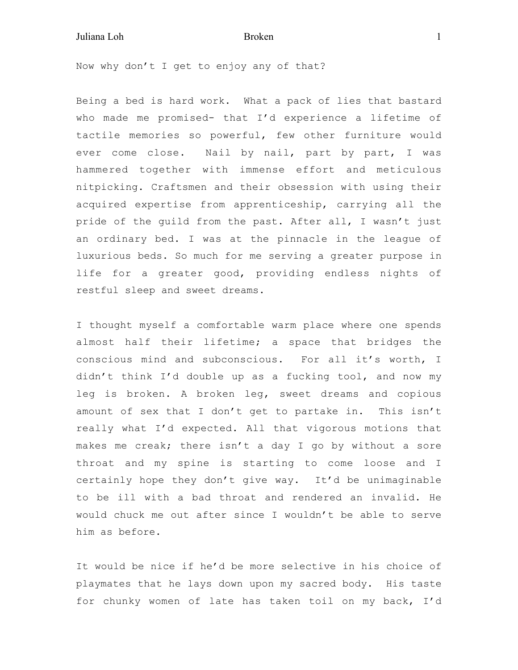## Juliana Loh **Broken** 1

Now why don't I get to enjoy any of that?

Being a bed is hard work. What a pack of lies that bastard who made me promised- that I'd experience a lifetime of tactile memories so powerful, few other furniture would ever come close. Nail by nail, part by part, I was hammered together with immense effort and meticulous nitpicking. Craftsmen and their obsession with using their acquired expertise from apprenticeship, carrying all the pride of the guild from the past. After all, I wasn't just an ordinary bed. I was at the pinnacle in the league of luxurious beds. So much for me serving a greater purpose in life for a greater good, providing endless nights of restful sleep and sweet dreams.

I thought myself a comfortable warm place where one spends almost half their lifetime; a space that bridges the conscious mind and subconscious. For all it's worth, I didn't think I'd double up as a fucking tool, and now my leg is broken. A broken leg, sweet dreams and copious amount of sex that I don't get to partake in. This isn't really what I'd expected. All that vigorous motions that makes me creak; there isn't a day I go by without a sore throat and my spine is starting to come loose and I certainly hope they don't give way. It'd be unimaginable to be ill with a bad throat and rendered an invalid. He would chuck me out after since I wouldn't be able to serve him as before.

It would be nice if he'd be more selective in his choice of playmates that he lays down upon my sacred body. His taste for chunky women of late has taken toil on my back, I'd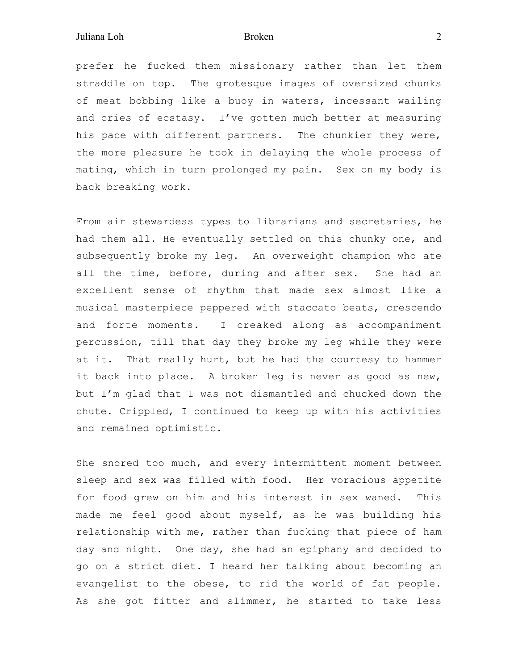prefer he fucked them missionary rather than let them straddle on top. The grotesque images of oversized chunks of meat bobbing like a buoy in waters, incessant wailing and cries of ecstasy. I've gotten much better at measuring his pace with different partners. The chunkier they were, the more pleasure he took in delaying the whole process of mating, which in turn prolonged my pain. Sex on my body is back breaking work.

From air stewardess types to librarians and secretaries, he had them all. He eventually settled on this chunky one, and subsequently broke my leg. An overweight champion who ate all the time, before, during and after sex. She had an excellent sense of rhythm that made sex almost like a musical masterpiece peppered with staccato beats, crescendo and forte moments. I creaked along as accompaniment percussion, till that day they broke my leg while they were at it. That really hurt, but he had the courtesy to hammer it back into place. A broken leg is never as good as new, but I'm glad that I was not dismantled and chucked down the chute. Crippled, I continued to keep up with his activities and remained optimistic.

She snored too much, and every intermittent moment between sleep and sex was filled with food. Her voracious appetite for food grew on him and his interest in sex waned. This made me feel good about myself, as he was building his relationship with me, rather than fucking that piece of ham day and night. One day, she had an epiphany and decided to go on a strict diet. I heard her talking about becoming an evangelist to the obese, to rid the world of fat people. As she got fitter and slimmer, he started to take less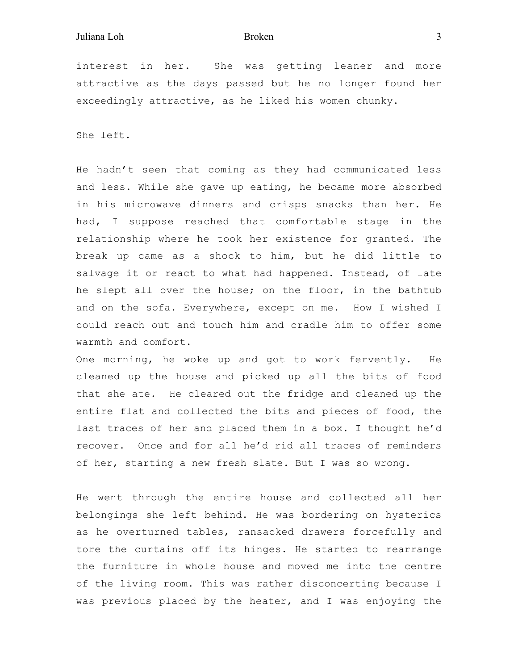interest in her. She was getting leaner and more attractive as the days passed but he no longer found her exceedingly attractive, as he liked his women chunky.

She left.

He hadn't seen that coming as they had communicated less and less. While she gave up eating, he became more absorbed in his microwave dinners and crisps snacks than her. He had, I suppose reached that comfortable stage in the relationship where he took her existence for granted. The break up came as a shock to him, but he did little to salvage it or react to what had happened. Instead, of late he slept all over the house; on the floor, in the bathtub and on the sofa. Everywhere, except on me. How I wished I could reach out and touch him and cradle him to offer some warmth and comfort.

One morning, he woke up and got to work fervently. He cleaned up the house and picked up all the bits of food that she ate. He cleared out the fridge and cleaned up the entire flat and collected the bits and pieces of food, the last traces of her and placed them in a box. I thought he'd recover. Once and for all he'd rid all traces of reminders of her, starting a new fresh slate. But I was so wrong.

He went through the entire house and collected all her belongings she left behind. He was bordering on hysterics as he overturned tables, ransacked drawers forcefully and tore the curtains off its hinges. He started to rearrange the furniture in whole house and moved me into the centre of the living room. This was rather disconcerting because I was previous placed by the heater, and I was enjoying the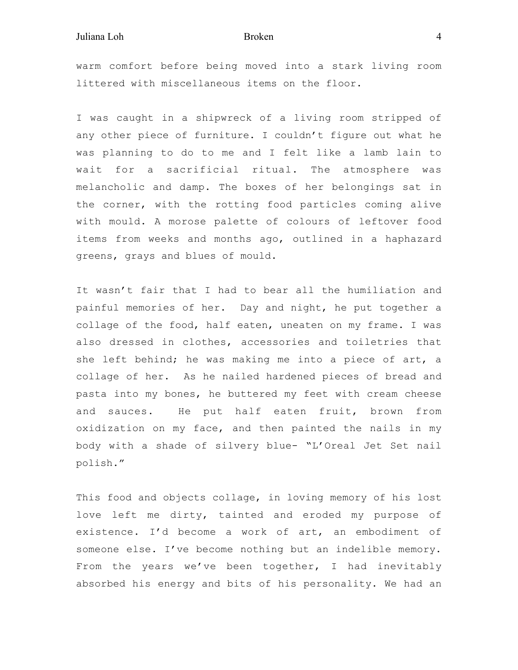## Juliana Loh Broken 4

warm comfort before being moved into a stark living room littered with miscellaneous items on the floor.

I was caught in a shipwreck of a living room stripped of any other piece of furniture. I couldn't figure out what he was planning to do to me and I felt like a lamb lain to wait for a sacrificial ritual. The atmosphere was melancholic and damp. The boxes of her belongings sat in the corner, with the rotting food particles coming alive with mould. A morose palette of colours of leftover food items from weeks and months ago, outlined in a haphazard greens, grays and blues of mould.

It wasn't fair that I had to bear all the humiliation and painful memories of her. Day and night, he put together a collage of the food, half eaten, uneaten on my frame. I was also dressed in clothes, accessories and toiletries that she left behind; he was making me into a piece of art, a collage of her. As he nailed hardened pieces of bread and pasta into my bones, he buttered my feet with cream cheese and sauces. He put half eaten fruit, brown from oxidization on my face, and then painted the nails in my body with a shade of silvery blue- "L'Oreal Jet Set nail polish."

This food and objects collage, in loving memory of his lost love left me dirty, tainted and eroded my purpose of existence. I'd become a work of art, an embodiment of someone else. I've become nothing but an indelible memory. From the years we've been together, I had inevitably absorbed his energy and bits of his personality. We had an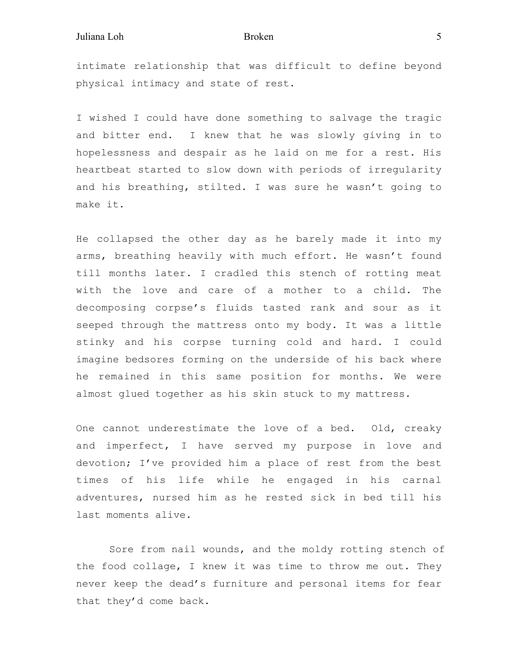intimate relationship that was difficult to define beyond physical intimacy and state of rest.

I wished I could have done something to salvage the tragic and bitter end. I knew that he was slowly giving in to hopelessness and despair as he laid on me for a rest. His heartbeat started to slow down with periods of irregularity and his breathing, stilted. I was sure he wasn't going to make it.

He collapsed the other day as he barely made it into my arms, breathing heavily with much effort. He wasn't found till months later. I cradled this stench of rotting meat with the love and care of a mother to a child. The decomposing corpse's fluids tasted rank and sour as it seeped through the mattress onto my body. It was a little stinky and his corpse turning cold and hard. I could imagine bedsores forming on the underside of his back where he remained in this same position for months. We were almost glued together as his skin stuck to my mattress.

One cannot underestimate the love of a bed. Old, creaky and imperfect, I have served my purpose in love and devotion; I've provided him a place of rest from the best times of his life while he engaged in his carnal adventures, nursed him as he rested sick in bed till his last moments alive.

 Sore from nail wounds, and the moldy rotting stench of the food collage, I knew it was time to throw me out. They never keep the dead's furniture and personal items for fear that they'd come back.